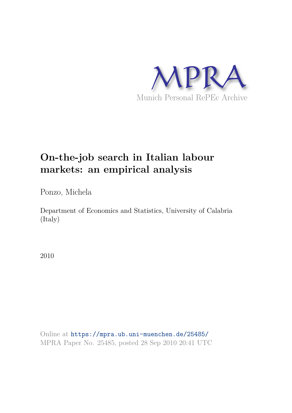

# **On-the-job search in Italian labour markets: an empirical analysis**

Ponzo, Michela

Department of Economics and Statistics, University of Calabria (Italy)

2010

Online at https://mpra.ub.uni-muenchen.de/25485/ MPRA Paper No. 25485, posted 28 Sep 2010 20:41 UTC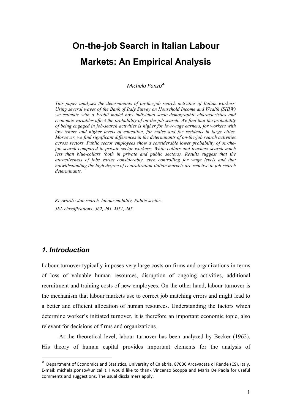# On-the-job Search in Italian Labour **Markets: An Empirical Analysis**

*Michela Ponzo*♣

*This paper analyses the determinants of on-the-job search activities of Italian workers. Using several waves of the Bank of Italy Survey on Household Income and Wealth (SHIW)*  we estimate with a Probit model how individual socio-demographic characteristics and *economic variables affect the probability of on-the-job search. We find that the probability of being engaged in jobsearch activities is higher for lowwage earners, for workers with low tenure and higher levels of education, for males and for residents in large cities. Moreover, we find significant differences in the determinants of on-the-job search activities across sectors. Public sector employees show a considerable lower probability of onthe job search compared to private sector workers; White-collars and teachers search much less than blue-collars (both in private and public sectors). Results suggest that the attractiveness of jobs varies considerably, even controlling for wage levels and that notwithstanding the high degree of centralization Italian markets are reactive to jobsearch determinants.* 

*Keywords: Job search, labour mobility, Public sector. JEL classifications: J62, J61, M51, J45.* 

# 1. Introduction

<u> Andrew Maria (1995)</u>

Labour turnover typically imposes very large costs on firms and organizations in terms of loss of valuable human resources, disruption of ongoing activities, additional recruitment and training costs of new employees. On the other hand, labour turnover is the mechanism that labour markets use to correct job matching errors and might lead to a better and efficient allocation of human resources. Understanding the factors which determine worker's initiated turnover, it is therefore an important economic topic, also relevant for decisions of firms and organizations.

At the theoretical level, labour turnover has been analyzed by Becker (1962). His theory of human capital provides important elements for the analysis of

<sup>♣</sup> Department of Economics and Statistics, University of Calabria, 87036 Arcavacata di Rende (CS), Italy. E-mail: michela.ponzo@unical.it. I would like to thank Vincenzo Scoppa and Maria De Paola for useful comments and suggestions. The usual disclaimers apply.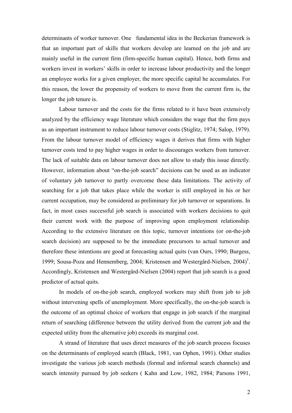determinants of worker turnover. One fundamental idea in the Beckerian framework is that an important part of skills that workers develop are learned on the job and are mainly useful in the current firm (firm-specific human capital). Hence, both firms and workers invest in workers' skills in order to increase labour productivity and the longer an employee works for a given employer, the more specific capital he accumulates. For this reason, the lower the propensity of workers to move from the current firm is, the longer the job tenure is.

Labour turnover and the costs for the firms related to it have been extensively analyzed by the efficiency wage literature which considers the wage that the firm pays as an important instrument to reduce labour turnover costs (Stiglitz, 1974; Salop, 1979). From the labour turnover model of efficiency wages it derives that firms with higher turnover costs tend to pay higher wages in order to discourages workers from turnover. The lack of suitable data on labour turnover does not allow to study this issue directly. However, information about "on-the-job search" decisions can be used as an indicator of voluntary job turnover to partly overcome these data limitations. The activity of searching for a job that takes place while the worker is still employed in his or her current occupation, may be considered as preliminary for job turnover or separations. In fact, in most cases successful job search is associated with workers decisions to quit their current work with the purpose of improving upon employment relationship. According to the extensive literature on this topic, turnover intentions (or on-the-job search decision) are supposed to be the immediate precursors to actual turnover and therefore these intentions are good at forecasting actual quits (van Ours, 1990; Burgess, 1999; Sousa-Poza and Hennemberg, 2004; Kristensen and Westergård-Nielsen, 2004)<sup>1</sup>. Accordingly, Kristensen and Westergård-Nielsen (2004) report that job search is a good predictor of actual quits.

In models of on-the-job search, employed workers may shift from job to job without intervening spells of unemployment. More specifically, the on-the-job search is the outcome of an optimal choice of workers that engage in job search if the marginal return of searching (difference between the utility derived from the current job and the expected utility from the alternative job) exceeds its marginal cost.

A strand of literature that uses direct measures of the job search process focuses on the determinants of employed search (Black, 1981, van Ophen, 1991). Other studies investigate the various job search methods (formal and informal search channels) and search intensity pursued by job seekers (Kahn and Low, 1982, 1984; Parsons 1991,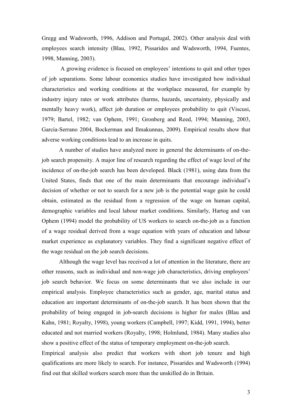Gregg and Wadsworth, 1996, Addison and Portugal, 2002). Other analysis deal with employees search intensity (Blau, 1992, Pissarides and Wadsworth, 1994, Fuentes, 1998, Manning, 2003).

A growing evidence is focused on employees' intentions to quit and other types of job separations. Some labour economics studies have investigated how individual characteristics and working conditions at the workplace measured, for example by industry injury rates or work attributes (harms, hazards, uncertainty, physically and mentally heavy work), affect job duration or employees probability to quit (Viscusi, 1979; Bartel, 1982; van Ophem, 1991; Gronberg and Reed, 1994; Manning, 2003, García-Serrano 2004, Bockerman and Ilmakunnas, 2009). Empirical results show that adverse working conditions lead to an increase in quits.

A number of studies have analyzed more in general the determinants of on-thejob search propensity. A major line of research regarding the effect of wage level of the incidence of on-the-job search has been developed. Black (1981), using data from the United States, finds that one of the main determinants that encourage individual's decision of whether or not to search for a new job is the potential wage gain he could obtain, estimated as the residual from a regression of the wage on human capital, demographic variables and local labour market conditions. Similarly, Hartog and van Ophem (1994) model the probability of US workers to search on-the-job as a function of a wage residual derived from a wage equation with years of education and labour market experience as explanatory variables. They find a significant negative effect of the wage residual on the job search decisions.

Although the wage level has received a lot of attention in the literature, there are other reasons, such as individual and non-wage job characteristics, driving employees' job search behavior. We focus on some determinants that we also include in our empirical analysis. Employee characteristics such as gender, age, marital status and education are important determinants of on-the-job search. It has been shown that the probability of being engaged in job-search decisions is higher for males (Blau and Kahn, 1981; Royalty, 1998), young workers (Campbell, 1997; Kidd, 1991, 1994), better educated and not married workers (Royalty, 1998; Holmlund, 1984). Many studies also show a positive effect of the status of temporary employment on-the-job search.

Empirical analysis also predict that workers with short job tenure and high qualifications are more likely to search. For instance, Pissarides and Wadsworth (1994) find out that skilled workers search more than the unskilled do in Britain.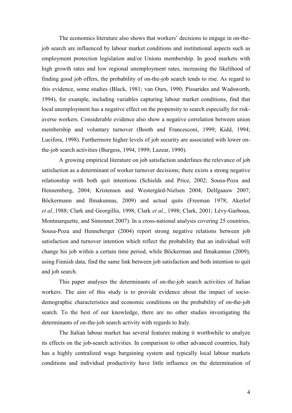The economics literature also shows that workers' decisions to engage in on-thejob search are influenced by labour market conditions and institutional aspects such as employment protection legislation and/or Unions membership. In good markets with high growth rates and low regional unemployment rates, increasing the likelihood of finding good job offers, the probability of on-the-job search tends to rise. As regard to this evidence, some studies (Black, 1981; van Ours, 1990; Pissarides and Wadsworth, 1994), for example, including variables capturing labour market conditions, find that local unemployment has a negative effect on the propensity to search especially for riskaverse workers. Considerable evidence also show a negative correlation between union membership and voluntary turnover (Booth and Francesconi, 1999; Kidd, 1994; Lucifora, 1998). Furthermore higher levels of job security are associated with lower onthe-job search activities (Burgess, 1994, 1999; Lazear, 1990).

A growing empirical literature on job satisfaction underlines the relevance of job satisfaction as a determinant of worker turnover decisions; there exists a strong negative relationship with both quit intentions (Schields and Price, 2002; Sousa-Poza and Hennemberg, 2004; Kristensen and Westergård-Nielsen 2004; Delfgaauw 2007; Böckermann and Ilmakunnas, 2009) and actual quits (Freeman 1978; Akerlof et al., 1988; Clark and Georgillis, 1998; Clark et al., 1998; Clark, 2001; Lévy-Garboua, Montmarquette, and Simonnet 2007). In a cross-national analysis covering 25 countries, Sousa-Poza and Henneberger (2004) report strong negative relations between job satisfaction and turnover intention which reflect the probability that an individual will change his job within a certain time period, while Böckerman and Ilmakunnas (2009), using Finnish data, find the same link between job satisfaction and both intention to quit and job search.

This paper analyses the determinants of on-the-job search activities of Italian workers. The aim of this study is to provide evidence about the impact of sociodemographic characteristics and economic conditions on the probability of on-the-job search. To the best of our knowledge, there are no other studies investigating the determinants of on-the-job search activity with regards to Italy.

The Italian labour market has several features making it worthwhile to analyze its effects on the job-search activities. In comparison to other advanced countries, Italy has a highly centralized wage bargaining system and typically local labour markets conditions and individual productivity have little influence on the determination of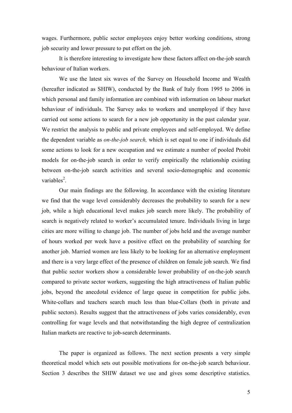wages. Furthermore, public sector employees enjoy better working conditions, strong job security and lower pressure to put effort on the job.

It is therefore interesting to investigate how these factors affect on-the-job search behaviour of Italian workers.

We use the latest six waves of the Survey on Household Income and Wealth (hereafter indicated as SHIW), conducted by the Bank of Italy from 1995 to 2006 in which personal and family information are combined with information on labour market behaviour of individuals. The Survey asks to workers and unemployed if they have carried out some actions to search for a new job opportunity in the past calendar year. We restrict the analysis to public and private employees and self-employed. We define the dependent variable as *on-the-job search*, which is set equal to one if individuals did some actions to look for a new occupation and we estimate a number of pooled Probit models for on-the-job search in order to verify empirically the relationship existing between on-the-job search activities and several socio-demographic and economic  $variable<sup>2</sup>$ 

Our main findings are the following. In accordance with the existing literature we find that the wage level considerably decreases the probability to search for a new job, while a high educational level makes job search more likely. The probability of search is negatively related to worker's accumulated tenure. Individuals living in large cities are more willing to change job. The number of jobs held and the average number of hours worked per week have a positive effect on the probability of searching for another job. Married women are less likely to be looking for an alternative employment and there is a very large effect of the presence of children on female job search. We find that public sector workers show a considerable lower probability of on-the-job search compared to private sector workers, suggesting the high attractiveness of Italian public jobs, beyond the anecdotal evidence of large queue in competition for public jobs. White-collars and teachers search much less than blue-Collars (both in private and public sectors). Results suggest that the attractiveness of jobs varies considerably, even controlling for wage levels and that notwithstanding the high degree of centralization Italian markets are reactive to job-search determinants.

The paper is organized as follows. The next section presents a very simple theoretical model which sets out possible motivations for on-the-job search behaviour. Section 3 describes the SHIW dataset we use and gives some descriptive statistics.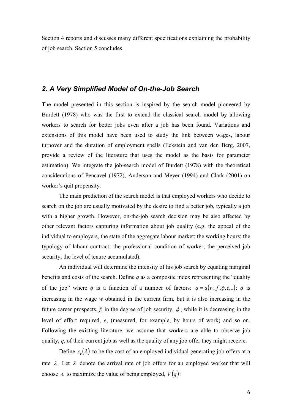Section 4 reports and discusses many different specifications explaining the probability of job search. Section 5 concludes.

# 2. A Very Simplified Model of On-the-Job Search

The model presented in this section is inspired by the search model pioneered by Burdett (1978) who was the first to extend the classical search model by allowing workers to search for better jobs even after a job has been found. Variations and extensions of this model have been used to study the link between wages, labour turnover and the duration of employment spells (Eckstein and van den Berg, 2007, provide a review of the literature that uses the model as the basis for parameter estimation). We integrate the job-search model of Burdett (1978) with the theoretical considerations of Pencavel (1972), Anderson and Meyer (1994) and Clark (2001) on worker's quit propensity.

The main prediction of the search model is that employed workers who decide to search on the job are usually motivated by the desire to find a better job, typically a job with a higher growth. However, on-the-job search decision may be also affected by other relevant factors capturing information about job quality (e.g. the appeal of the individual to employers, the state of the aggregate labour market; the working hours; the typology of labour contract; the professional condition of worker; the perceived job security; the level of tenure accumulated).

An individual will determine the intensity of his job search by equating marginal benefits and costs of the search. Define  $q$  as a composite index representing the "quality" of the job" where q is a function of a number of factors:  $q = q(w, f, \phi, e, ...)$ : q is increasing in the wage w obtained in the current firm, but it is also increasing in the future career prospects, f; in the degree of job security,  $\phi$ ; while it is decreasing in the level of effort required, e, (measured, for example, by hours of work) and so on. Following the existing literature, we assume that workers are able to observe job quality,  $q$ , of their current job as well as the quality of any job offer they might receive.

Define  $c_a(\lambda)$  to be the cost of an employed individual generating job offers at a rate  $\lambda$ . Let  $\lambda$  denote the arrival rate of job offers for an employed worker that will choose  $\lambda$  to maximize the value of being employed,  $V(q)$ :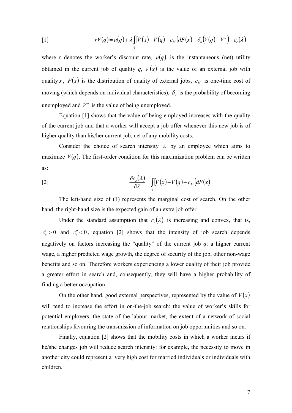$$
rV(q) = u(q) + \lambda \int\limits_q [V(x) - V(q) - c_M] dF(x) - \delta_u (V(q) - V^u) - c_e(\lambda)
$$

where r denotes the worker's discount rate,  $u(q)$  is the instantaneous (net) utility obtained in the current job of quality q,  $V(x)$  is the value of an external job with quality x,  $F(x)$  is the distribution of quality of external jobs,  $c_M$  is one-time cost of moving (which depends on individual characteristics),  $\delta_u$  is the probability of becoming unemployed and  $V^u$  is the value of being unemployed.

Equation [1] shows that the value of being employed increases with the quality of the current job and that a worker will accept a job offer whenever this new job is of higher quality than his/her current job, net of any mobility costs.

Consider the choice of search intensity  $\lambda$  by an employee which aims to maximize  $V(q)$ . The first-order condition for this maximization problem can be written as:

$$
\frac{\partial c_e(\lambda)}{\partial \lambda} = \int\limits_q [V(x) - V(q) - c_M] dF(x)
$$

The left-hand size of (1) represents the marginal cost of search. On the other hand, the right-hand size is the expected gain of an extra job offer.

Under the standard assumption that  $c_{\rho}(\lambda)$  is increasing and convex, that is,  $c'_e > 0$  and  $c''_e < 0$ , equation [2] shows that the intensity of job search depends negatively on factors increasing the "quality" of the current job  $q$ : a higher current wage, a higher predicted wage growth, the degree of security of the job, other non-wage benefits and so on. Therefore workers experiencing a lower quality of their job provide a greater effort in search and, consequently, they will have a higher probability of finding a better occupation.

On the other hand, good external perspectives, represented by the value of  $V(x)$ will tend to increase the effort in on-the-job search: the value of worker's skills for potential employers, the state of the labour market, the extent of a network of social relationships favouring the transmission of information on job opportunities and so on.

Finally, equation [2] shows that the mobility costs in which a worker incurs if he/she changes job will reduce search intensity: for example, the necessity to move in another city could represent a very high cost for married individuals or individuals with children.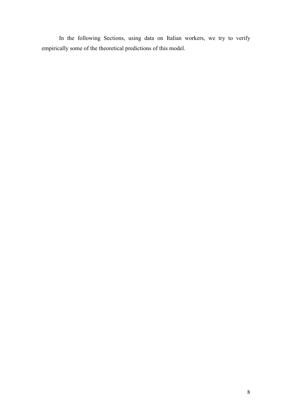In the following Sections, using data on Italian workers, we try to verify empirically some of the theoretical predictions of this model.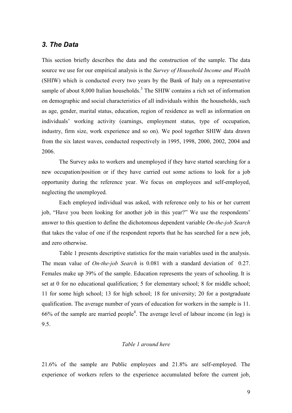## 3. The Data

This section briefly describes the data and the construction of the sample. The data source we use for our empirical analysis is the Survey of Household Income and Wealth (SHIW) which is conducted every two years by the Bank of Italy on a representative sample of about 8,000 Italian households.<sup>3</sup> The SHIW contains a rich set of information on demographic and social characteristics of all individuals within the households, such as age, gender, marital status, education, region of residence as well as information on individuals' working activity (earnings, employment status, type of occupation, industry, firm size, work experience and so on). We pool together SHIW data drawn from the six latest waves, conducted respectively in 1995, 1998, 2000, 2002, 2004 and 2006.

The Survey asks to workers and unemployed if they have started searching for a new occupation/position or if they have carried out some actions to look for a job opportunity during the reference year. We focus on employees and self-employed, neglecting the unemployed.

Each employed individual was asked, with reference only to his or her current job, "Have you been looking for another job in this year?" We use the respondents' answer to this question to define the dichotomous dependent variable On-the-job Search that takes the value of one if the respondent reports that he has searched for a new job, and zero otherwise.

Table 1 presents descriptive statistics for the main variables used in the analysis. The mean value of *On-the-job Search* is 0.081 with a standard deviation of 0.27. Females make up 39% of the sample. Education represents the years of schooling. It is set at 0 for no educational qualification; 5 for elementary school; 8 for middle school; 11 for some high school; 13 for high school; 18 for university; 20 for a postgraduate qualification. The average number of years of education for workers in the sample is 11. 66% of the sample are married people<sup>4</sup>. The average level of labour income (in log) is 9.5.

### Table 1 around here

21.6% of the sample are Public employees and 21.8% are self-employed. The experience of workers refers to the experience accumulated before the current job,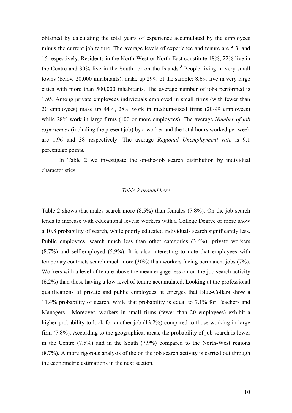obtained by calculating the total years of experience accumulated by the employees minus the current job tenure. The average levels of experience and tenure are 5.3, and 15 respectively. Residents in the North-West or North-East constitute 48%, 22% live in the Centre and 30% live in the South or on the Islands.<sup>5</sup> People living in very small towns (below 20,000 inhabitants), make up 29% of the sample; 8.6% live in very large cities with more than 500,000 inhabitants. The average number of jobs performed is 1.95. Among private employees individuals employed in small firms (with fewer than 20 employees) make up 44%, 28% work in medium-sized firms (20-99 employees) while 28% work in large firms (100 or more employees). The average Number of job *experiences* (including the present job) by a worker and the total hours worked per week are 1.96 and 38 respectively. The average Regional Unemployment rate is 9.1 percentage points.

In Table 2 we investigate the on-the-job search distribution by individual characteristics.

### Table 2 around here

Table 2 shows that males search more  $(8.5\%)$  than females  $(7.8\%)$ . On-the-job search tends to increase with educational levels: workers with a College Degree or more show a 10.8 probability of search, while poorly educated individuals search significantly less. Public employees, search much less than other categories  $(3.6\%)$ , private workers  $(8.7%)$  and self-employed  $(5.9%)$ . It is also interesting to note that employees with temporary contracts search much more  $(30\%)$  than workers facing permanent jobs  $(7\%)$ . Workers with a level of tenure above the mean engage less on on-the-job search activity  $(6.2\%)$  than those having a low level of tenure accumulated. Looking at the professional qualifications of private and public employees, it emerges that Blue-Collars show a 11.4% probability of search, while that probability is equal to 7.1% for Teachers and Managers. Moreover, workers in small firms (fewer than 20 employees) exhibit a higher probability to look for another job (13.2%) compared to those working in large firm  $(7.8\%)$ . According to the geographical areas, the probability of job search is lower in the Centre  $(7.5\%)$  and in the South  $(7.9\%)$  compared to the North-West regions  $(8.7\%)$ . A more rigorous analysis of the on the job search activity is carried out through the econometric estimations in the next section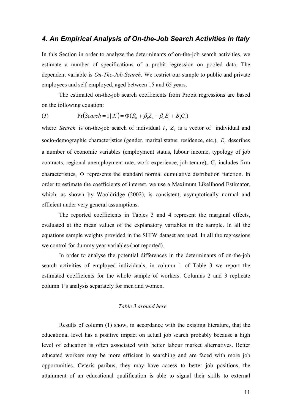## 4. An Empirical Analysis of On-the-Job Search Activities in Italy

In this Section in order to analyze the determinants of on-the-job search activities, we estimate a number of specifications of a probit regression on pooled data. The dependent variable is *On-The-Job Search*. We restrict our sample to public and private employees and self-employed, aged between 15 and 65 years.

The estimated on-the-job search coefficients from Probit regressions are based on the following equation:

 $Pr(Search = 1 | X) = \Phi(\beta_0 + \beta_1 Z_i + \beta_2 E_i + B_i C_i)$  $(3)$ 

where Search is on-the-job search of individual  $i$ ,  $Z_i$  is a vector of individual and socio-demographic characteristics (gender, marital status, residence, etc.),  $E_i$  describes a number of economic variables (employment status, labour income, typology of job contracts, regional unemployment rate, work experience, job tenure),  $C_i$  includes firm characteristics,  $\Phi$  represents the standard normal cumulative distribution function. In order to estimate the coefficients of interest, we use a Maximum Likelihood Estimator, which, as shown by Wooldridge (2002), is consistent, asymptotically normal and efficient under very general assumptions.

The reported coefficients in Tables 3 and 4 represent the marginal effects, evaluated at the mean values of the explanatory variables in the sample. In all the equations sample weights provided in the SHIW dataset are used. In all the regressions we control for dummy year variables (not reported).

In order to analyse the potential differences in the determinants of on-the-job search activities of employed individuals, in column 1 of Table 3 we report the estimated coefficients for the whole sample of workers. Columns 2 and 3 replicate column 1's analysis separately for men and women.

#### Table 3 around here

Results of column (1) show, in accordance with the existing literature, that the educational level has a positive impact on actual job search probably because a high level of education is often associated with better labour market alternatives. Better educated workers may be more efficient in searching and are faced with more job opportunities. Ceteris paribus, they may have access to better job positions, the attainment of an educational qualification is able to signal their skills to external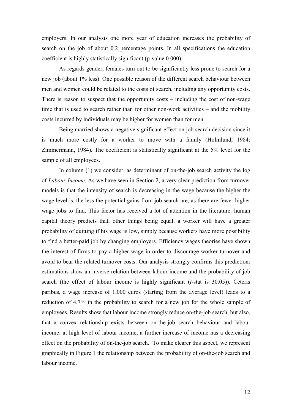employers. In our analysis one more year of education increases the probability of search on the job of about 0.2 percentage points. In all specifications the education coefficient is highly statistically significant (p-value 0.000).

As regards gender, females turn out to be significantly less prone to search for a new job (about 1% less). One possible reason of the different search behaviour between men and women could be related to the costs of search, including any opportunity costs. There is reason to suspect that the opportunity costs  $-$  including the cost of non-wage time that is used to search rather than for other non-work activities  $-$  and the mobility costs incurred by individuals may be higher for women than for men.

Being married shows a negative significant effect on job search decision since it is much more costly for a worker to move with a family (Holmlund, 1984; Zimmermann, 1984). The coefficient is statistically significant at the 5% level for the sample of all employees.

In column (1) we consider, as determinant of on-the-job search activity the log of *Labour Income*. As we have seen in Section 2, a very clear prediction from turnover models is that the intensity of search is decreasing in the wage because the higher the wage level is, the less the potential gains from job search are, as there are fewer higher wage jobs to find. This factor has received a lot of attention in the literature: human capital theory predicts that, other things being equal, a worker will have a greater probability of quitting if his wage is low, simply because workers have more possibility to find a better-paid job by changing employers. Efficiency wages theories have shown the interest of firms to pay a higher wage in order to discourage worker turnover and avoid to bear the related turnover costs. Our analysis strongly confirms this prediction: estimations show an inverse relation between labour income and the probability of job search (the effect of labour income is highly significant  $(t\text{-stat is }30.05)$ ). Ceteris paribus, a wage increase of 1,000 euros (starting from the average level) leads to a reduction of 4.7% in the probability to search for a new job for the whole sample of employees. Results show that labour income strongly reduce on-the-job search, but also, that a convex relationship exists between on-the-job search behaviour and labour income: at high level of labour income, a further increase of income has a decreasing effect on the probability of on-the-job search. To make clearer this aspect, we represent graphically in Figure 1 the relationship between the probability of on-the-job search and labour income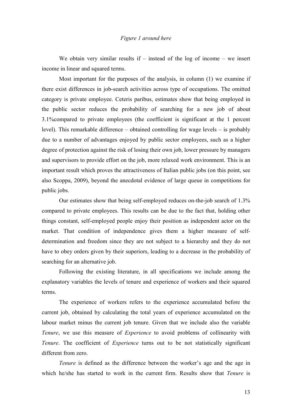#### Figure 1 around here

We obtain very similar results if  $-$  instead of the log of income  $-$  we insert income in linear and squared terms.

Most important for the purposes of the analysis, in column (1) we examine if there exist differences in job-search activities across type of occupations. The omitted category is private employee. Ceteris paribus, estimates show that being employed in the public sector reduces the probability of searching for a new job of about 3.1% compared to private employees (the coefficient is significant at the 1 percent level). This remarkable difference – obtained controlling for wage levels – is probably due to a number of advantages enjoyed by public sector employees, such as a higher degree of protection against the risk of losing their own job, lower pressure by managers and supervisors to provide effort on the job, more relaxed work environment. This is an important result which proves the attractiveness of Italian public jobs (on this point, see also Scoppa, 2009), beyond the anecdotal evidence of large queue in competitions for public jobs.

Our estimates show that being self-employed reduces on-the-job search of 1.3% compared to private employees. This results can be due to the fact that, holding other things constant, self-employed people enjoy their position as independent actor on the market. That condition of independence gives them a higher measure of selfdetermination and freedom since they are not subject to a hierarchy and they do not have to obey orders given by their superiors, leading to a decrease in the probability of searching for an alternative job.

Following the existing literature, in all specifications we include among the explanatory variables the levels of tenure and experience of workers and their squared terms

The experience of workers refers to the experience accumulated before the current job, obtained by calculating the total years of experience accumulated on the labour market minus the current job tenure. Given that we include also the variable Tenure, we use this measure of *Experience* to avoid problems of collinearity with Tenure. The coefficient of *Experience* turns out to be not statistically significant different from zero

*Tenure* is defined as the difference between the worker's age and the age in which he/she has started to work in the current firm. Results show that *Tenure* is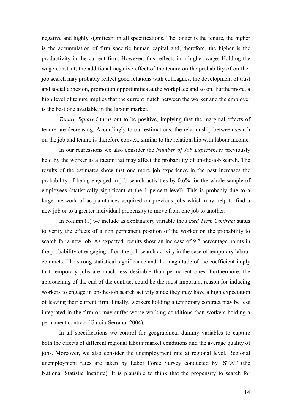negative and highly significant in all specifications. The longer is the tenure, the higher is the accumulation of firm specific human capital and, therefore, the higher is the productivity in the current firm. However, this reflects in a higher wage. Holding the wage constant, the additional negative effect of the tenure on the probability of on-thejob search may probably reflect good relations with colleagues, the development of trust and social cohesion, promotion opportunities at the workplace and so on. Furthermore, a high level of tenure implies that the current match between the worker and the employer is the best one available in the labour market.

*Tenure Squared* turns out to be positive, implying that the marginal effects of tenure are decreasing. Accordingly to our estimations, the relationship between search on the job and tenure is therefore convex, similar to the relationship with labour income.

In our regressions we also consider the *Number of Job Experiences* previously held by the worker as a factor that may affect the probability of on-the-job search. The results of the estimates show that one more job experience in the past increases the probability of being engaged in job search activities by 0.6% for the whole sample of employees (statistically significant at the 1 percent level). This is probably due to a larger network of acquaintances acquired on previous jobs which may help to find a new job or to a greater individual propensity to move from one job to another.

In column (1) we include as explanatory variable the *Fixed Term Contract* status to verify the effects of a non permanent position of the worker on the probability to search for a new job. As expected, results show an increase of 9.2 percentage points in the probability of engaging of on-the-job-search activity in the case of temporary labour contracts. The strong statistical significance and the magnitude of the coefficient imply that temporary jobs are much less desirable than permanent ones. Furthermore, the approaching of the end of the contract could be the most important reason for inducing workers to engage in on-the-job search activity since they may have a high expectation of leaving their current firm. Finally, workers holding a temporary contract may be less integrated in the firm or may suffer worse working conditions than workers holding a permanent contract (Garcia-Serrano, 2004).

In all specifications we control for geographical dummy variables to capture both the effects of different regional labour market conditions and the average quality of jobs. Moreover, we also consider the unemployment rate at regional level. Regional unemployment rates are taken by Labor Force Survey conducted by ISTAT (the National Statistic Institute). It is plausible to think that the propensity to search for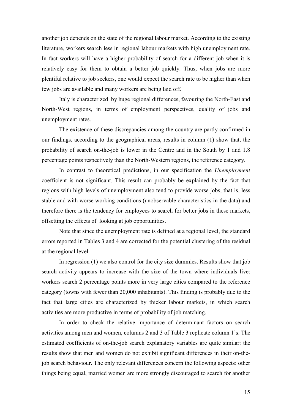another job depends on the state of the regional labour market. According to the existing literature, workers search less in regional labour markets with high unemployment rate. In fact workers will have a higher probability of search for a different job when it is relatively easy for them to obtain a better job quickly. Thus, when jobs are more plentiful relative to job seekers, one would expect the search rate to be higher than when few jobs are available and many workers are being laid off.

Italy is characterized by huge regional differences, favouring the North-East and North-West regions, in terms of employment perspectives, quality of jobs and unemployment rates.

The existence of these discrepancies among the country are partly confirmed in our findings, according to the geographical areas, results in column (1) show that, the probability of search on-the-job is lower in the Centre and in the South by 1 and 1.8 percentage points respectively than the North-Western regions, the reference category.

In contrast to theoretical predictions, in our specification the *Unemployment* coefficient is not significant. This result can probably be explained by the fact that regions with high levels of unemployment also tend to provide worse jobs, that is, less stable and with worse working conditions (unobservable characteristics in the data) and therefore there is the tendency for employees to search for better jobs in these markets, offsetting the effects of looking at job opportunities.

Note that since the unemployment rate is defined at a regional level, the standard errors reported in Tables 3 and 4 are corrected for the potential clustering of the residual at the regional level.

In regression  $(1)$  we also control for the city size dummies. Results show that job search activity appears to increase with the size of the town where individuals live: workers search 2 percentage points more in very large cities compared to the reference category (towns with fewer than 20,000 inhabitants). This finding is probably due to the fact that large cities are characterized by thicker labour markets, in which search activities are more productive in terms of probability of job matching.

In order to check the relative importance of determinant factors on search activities among men and women, columns 2 and 3 of Table 3 replicate column 1's. The estimated coefficients of on-the-job search explanatory variables are quite similar: the results show that men and women do not exhibit significant differences in their on-thejob search behaviour. The only relevant differences concern the following aspects: other things being equal, married women are more strongly discouraged to search for another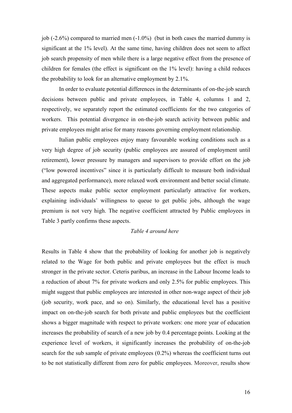job  $(-2.6\%)$  compared to married men  $(-1.0\%)$  (but in both cases the married dummy is significant at the 1% level). At the same time, having children does not seem to affect job search propensity of men while there is a large negative effect from the presence of children for females (the effect is significant on the 1% level): having a child reduces the probability to look for an alternative employment by 2.1%.

In order to evaluate potential differences in the determinants of on-the-job search decisions between public and private employees, in Table 4, columns 1 and 2, respectively, we separately report the estimated coefficients for the two categories of workers. This potential divergence in on-the-job search activity between public and private employees might arise for many reasons governing employment relationship.

Italian public employees enjoy many favourable working conditions such as a very high degree of job security (public employees are assured of employment until retirement), lower pressure by managers and supervisors to provide effort on the job ("low powered incentives" since it is particularly difficult to measure both individual and aggregated performance), more relaxed work environment and better social climate. These aspects make public sector employment particularly attractive for workers, explaining individuals' willingness to queue to get public jobs, although the wage premium is not very high. The negative coefficient attracted by Public employees in Table 3 partly confirms these aspects.

#### Table 4 around here

Results in Table 4 show that the probability of looking for another job is negatively related to the Wage for both public and private employees but the effect is much stronger in the private sector. Ceteris paribus, an increase in the Labour Income leads to a reduction of about 7% for private workers and only 2.5% for public employees. This might suggest that public employees are interested in other non-wage aspect of their job (job security, work pace, and so on). Similarly, the educational level has a positive impact on on-the-job search for both private and public employees but the coefficient shows a bigger magnitude with respect to private workers: one more year of education increases the probability of search of a new job by 0.4 percentage points. Looking at the experience level of workers, it significantly increases the probability of on-the-job search for the sub sample of private employees  $(0.2\%)$  whereas the coefficient turns out to be not statistically different from zero for public employees. Moreover, results show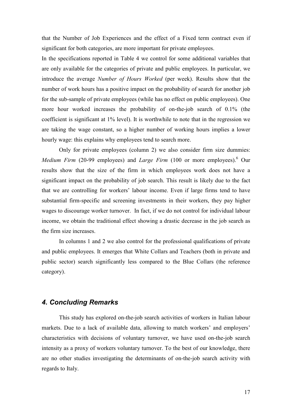that the Number of Job Experiences and the effect of a Fixed term contract even if significant for both categories, are more important for private employees.

In the specifications reported in Table 4 we control for some additional variables that are only available for the categories of private and public employees. In particular, we introduce the average Number of Hours Worked (per week). Results show that the number of work hours has a positive impact on the probability of search for another job for the sub-sample of private employees (while has no effect on public employees). One more hour worked increases the probability of on-the-job search of 0.1% (the coefficient is significant at 1% level). It is worthwhile to note that in the regression we are taking the wage constant, so a higher number of working hours implies a lower hourly wage: this explains why employees tend to search more.

Only for private employees (column 2) we also consider firm size dummies: Medium Firm (20-99 employees) and Large Firm (100 or more employees). Our results show that the size of the firm in which employees work does not have a significant impact on the probability of job search. This result is likely due to the fact that we are controlling for workers' labour income. Even if large firms tend to have substantial firm-specific and screening investments in their workers, they pay higher wages to discourage worker turnover. In fact, if we do not control for individual labour income, we obtain the traditional effect showing a drastic decrease in the job search as the firm size increases.

In columns 1 and 2 we also control for the professional qualifications of private and public employees. It emerges that White Collars and Teachers (both in private and public sector) search significantly less compared to the Blue Collars (the reference category).

# 4. Concluding Remarks

This study has explored on-the-job search activities of workers in Italian labour markets. Due to a lack of available data, allowing to match workers' and employers' characteristics with decisions of voluntary turnover, we have used on-the-job search intensity as a proxy of workers voluntary turnover. To the best of our knowledge, there are no other studies investigating the determinants of on-the-job search activity with regards to Italy.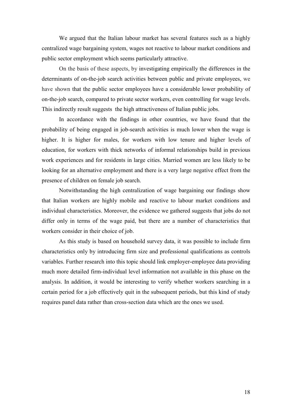We argued that the Italian labour market has several features such as a highly centralized wage bargaining system, wages not reactive to labour market conditions and public sector employment which seems particularly attractive.

On the basis of these aspects, by investigating empirically the differences in the determinants of on-the-job search activities between public and private employees, we have shown that the public sector employees have a considerable lower probability of on-the-job search, compared to private sector workers, even controlling for wage levels. This indirectly result suggests the high attractiveness of Italian public jobs.

In accordance with the findings in other countries, we have found that the probability of being engaged in job-search activities is much lower when the wage is higher. It is higher for males, for workers with low tenure and higher levels of education, for workers with thick networks of informal relationships build in previous work experiences and for residents in large cities. Married women are less likely to be looking for an alternative employment and there is a very large negative effect from the presence of children on female job search.

Notwithstanding the high centralization of wage bargaining our findings show that Italian workers are highly mobile and reactive to labour market conditions and individual characteristics. Moreover, the evidence we gathered suggests that jobs do not differ only in terms of the wage paid, but there are a number of characteristics that workers consider in their choice of job.

As this study is based on household survey data, it was possible to include firm characteristics only by introducing firm size and professional qualifications as controls variables. Further research into this topic should link employer-employee data providing much more detailed firm-individual level information not available in this phase on the analysis. In addition, it would be interesting to verify whether workers searching in a certain period for a job effectively quit in the subsequent periods, but this kind of study requires panel data rather than cross-section data which are the ones we used.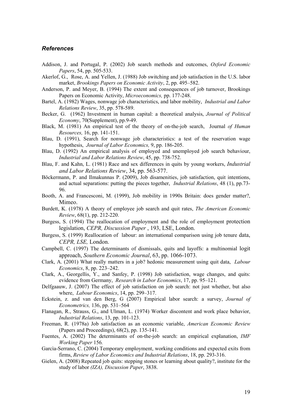#### **References**

- Addison, J. and Portugal, P. (2002) Job search methods and outcomes, *Oxford Economic* Papers, 54, pp. 505-533.
- Akerlof, G., Rose, A. and Yellen, J. (1988) Job switching and job satisfaction in the U.S. labor market, Brookings Papers on Economic Activity, 2, pp. 495–582.
- Anderson, P. and Meyer, B. (1994) The extent and consequences of job turnover, Brookings Papers on Economic Activity, Microeconomics, pp. 177-248.
- Bartel, A. (1982) Wages, nonwage job characteristics, and labor mobility, *Industrial and Labor* Relations Review, 35, pp. 578-589.
- Becker, G. (1962) Investment in human capital: a theoretical analysis, Journal of Political Economy, 70(Supplement), pp.9-49.
- Black, M. (1981) An empirical test of the theory of on-the-job search, Journal of Human Resources, 16, pp. 141-151.
- Blau, D. (1991), Search for nonwage job characteristics: a test of the reservation wage hypothesis, *Journal of Labor Economics*, 9, pp. 186-205.
- Blau, D. (1992) An empirical analysis of employed and unemployed job search behaviour, Industrial and Labor Relations Review, 45, pp. 738-752.
- Blau, F. and Kahn, L. (1981) Race and sex differences in quits by young workers, *Industrial* and Labor Relations Review, 34, pp. 563-577.
- Böckermann, P. and Ilmakunnas P. (2009), Job disamenities, job satisfaction, quit intentions, and actual separations: putting the pieces together, *Industrial Relations*, 48 (1), pp.73-96.
- Booth, A. and Francesconi, M. (1999), Job mobility in 1990s Britain: does gender matter?, Mimeo.
- Burdett, K. (1978) A theory of employee job search and quit rates, *The American Economic* Review, 68(1), pp. 212-220.
- Burgess, S. (1994) The reallocation of employment and the role of employment protection legislation, CEPR, Discussion Paper, 193, LSE, London.
- Burgess, S. (1999) Reallocation of labour: an international comparison using job tenure data, CEPR, LSE, London.
- Campbell, C. (1997) The determinants of dismissals, quits and layoffs: a multinomial logit approach, Southern Economic Journal, 63, pp. 1066-1073.
- Clark, A. (2001) What really matters in a job? hedonic measurement using quit data, *Labour Economics*, 8, pp. 223–242.
- Clark, A., Georgellis, Y., and Sanfey, P. (1998) Job satisfaction, wage changes, and quits: evidence from Germany, Research in Labor Economics, 17, pp. 95–121.
- Delfgaauw, J. (2007) The effect of job satisfaction on job search: not just whether, but also where, *Labour Economics*, 14, pp. 299–317.
- Eckstein, z. and van den Berg, G (2007) Empirical labor search: a survey, Journal of *Econometrics*, 136, pp. 531–564
- Flanagan, R., Strauss, G., and Ulman, L. (1974) Worker discontent and work place behavior, Industrial Relations, 13, pp. 101-123.
- Freeman, R. (1978a) Job satisfaction as an economic variable, American Economic Review (Papers and Proceedings), 68(2), pp. 135-141.
- Fuentes, A. (2002) The determinants of on-the-job search: an empirical explanation, *IMF* Working Paper 156.
- Garcia-Serrano, C. (2004) Temporary employment, working conditions and expected exits from firms, Review of Labor Economics and Industrial Relations, 18, pp. 293-316.
- Gielen, A. (2008) Repeated job quits: stepping stones or learning about quality?, institute for the study of labor (IZA), Discussion Paper, 3838.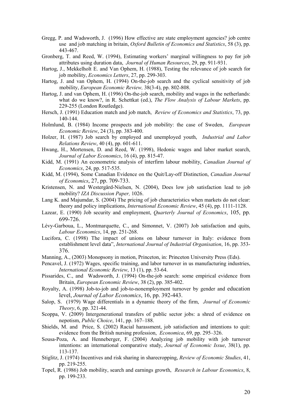- Gregg, P. and Wadsworth, J. (1996) How effective are state employment agencies? job centre use and job matching in britain, *Oxford Bulletin of Economics and Statistics*, 58 (3), pp. 443-467.
- Gronberg, T. and Reed, W. (1994), Estimating workers' marginal willingness to pay for job attributes using duration data, *Journal of Human Resources*, 29, pp. 911-931.
- Hartog, J., Mekkelholt E. and Van Ophem, H. (1988), Testing the relevance of job search for job mobility, *Economics Letters*, 27, pp. 299-303.
- Hartog, J. and van Ophem, H. (1994) On-the-job search and the cyclical sensitivity of job mobility, European Economic Review, 38(3-4), pp. 802-808.
- Hartog, J. and van Ophem, H. (1996) On-the-job search, mobility and wages in the netherlands: what do we know?, in R. Schettkat (ed.), The Flow Analysis of Labour Markets, pp. 229-255 (London Routledge).
- Hersch, J. (1991) Education match and job match, Review of Economics and Statistics, 73, pp. 140-144.
- Holmlund, B. (1984) Income prospects and job mobility: the case of Sweden, European Economic Review, 24 (3), pp. 383-400.
- Holzer, H. (1987) Job search by employed and unemployed youth, *Industrial and Labor* Relations Review, 40 (4), pp. 601-611.
- Hwang, H., Mortensen, D. and Reed, W. (1998), Hedonic wages and labor market search, Journal of Labor Economics, 16 (4), pp. 815-47.
- Kidd, M. (1991) An econometric analysis of interfirm labour mobility, Canadian Journal of *Economics*, 24, pp. 517-535.
- Kidd, M. (1994), Some Canadian Evidence on the Quit/Lay-off Distinction, Canadian Journal of Economics, 27, pp. 709-733.
- Kristensen, N. and Westergård-Nielsen, N. (2004), Does low job satisfaction lead to job mobility? IZA Discussion Paper, 1026.
- Lang K. and Majumdar, S. (2004) The pricing of job characteristics when markets do not clear: theory and policy implications, *International Economic Review*, 45 (4), pp. 1111-1128.
- Lazear, E. (1990) Job security and employment, *Quarterly Journal of Economics*, 105, pp. 699-726
- Lévy-Garboua, L., Montmarquette, C., and Simonnet, V. (2007) Job satisfaction and quits, Labour Economics, 14, pp. 251-268.
- Lucifora, C. (1998) The impact of unions on labour turnover in Italy: evidence from establishment level data". International Journal of Industrial Organisation, 16, pp. 353-376.
- Manning, A., (2003) Monopsony in motion, Princeton, in: Princeton University Press (Eds).
- Pencavel, J. (1972) Wages, specific training, and labor turnover in us manufacturing industries, International Economic Review, 13 (1), pp. 53-64.
- Pissarides, C., and Wadsworth, J. (1994) On-the-job search: some empirical evidence from Britain, *European Economic Review*, 38 (2), pp. 385-402.
- Royalty, A. (1998) Job-to-job and job-to-nonemployment turnover by gender and education level, Journal of Labor Economics, 16, pp. 392-443.
- Salop, S. (1979) Wage differentials in a dynamic theory of the firm, *Journal of Economic Theory*, 6, pp. 321-44.
- Scoppa, V. (2009) Intergenerational transfers of public sector jobs: a shred of evidence on nepotism. Public Choice, 141, pp. 167–188.
- Shields, M. and Price, S. (2002) Racial harassment, job satisfaction and intentions to quit: evidence from the British nursing profession, *Economica*, 69, pp. 295–326.
- Sousa-Poza, A. and Henneberger, F. (2004) Analyzing job mobility with job turnover intentions: an international comparative study, *Journal of Economic Issue*, 38(1), pp. 113-137.
- Stiglitz, J. (1974) Incentives and risk sharing in sharecropping, *Review of Economic Studies*, 41, pp. 219-255.
- Topel, R. (1986) Job mobility, search and earnings growth, *Research in Labour Economics*, 8, pp. 199-233.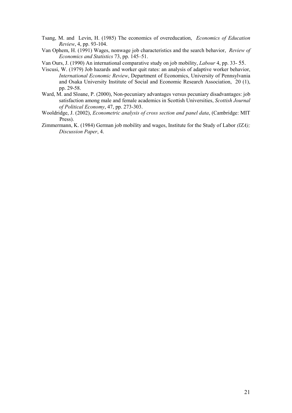- Tsang, M. and Levin, H. (1985) The economics of overeducation, Economics of Education Review, 4, pp. 93-104.
- Van Ophem, H. (1991) Wages, nonwage job characteristics and the search behavior, Review of Economics and Statistics 73, pp. 145–51.
- Van Ours, J. (1990) An international comparative study on job mobility, *Labour* 4, pp. 33-55.
- Viscusi, W. (1979) Job hazards and worker quit rates: an analysis of adaptive worker behavior, International Economic Review, Department of Economics, University of Pennsylvania and Osaka University Institute of Social and Economic Research Association, 20 (1), pp. 29-58.
- Ward,  $\hat{M}$  and Sloane, P. (2000), Non-pecuniary advantages versus pecuniary disadvantages: job satisfaction among male and female academics in Scottish Universities, Scottish Journal of Political Economy, 47, pp. 273-303.
- Wooldridge, J. (2002), Econometric analysis of cross section and panel data, (Cambridge: MIT Press).
- Zimmermann, K. (1984) German job mobility and wages, Institute for the Study of Labor (IZA); Discussion Paper, 4.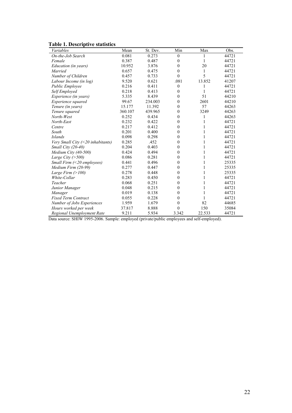#### **Table 1. Descriptive statistics**

| LAVIC 1. DESCHIPUVE STATISTICS<br>Variables |         | St. Dev. | Min              | Max    | Obs.  |
|---------------------------------------------|---------|----------|------------------|--------|-------|
|                                             | Mean    |          |                  |        |       |
| On-the-Job Search                           | 0.081   | 0.273    | $\overline{0}$   | 1      | 44721 |
| Female                                      | 0.387   | 0.487    | $\mathbf{0}$     | 1      | 44721 |
| Education (in years)                        | 10.952  | 3.876    | $\theta$         | 20     | 44721 |
| Married                                     | 0.657   | 0.475    | $\theta$         | 1      | 44721 |
| Number of Children                          | 0.457   | 0.733    | $\theta$         | 5      | 44721 |
| Labour Income (in log)                      | 9.520   | 0.621    | .081             | 13.852 | 41207 |
| Public Employee                             | 0.216   | 0.411    | $\boldsymbol{0}$ | 1      | 44721 |
| Self Employed                               | 0.218   | 0.413    | $\theta$         | 1      | 44721 |
| Experience (in years)                       | 5.335   | 8.439    | $\theta$         | 51     | 44210 |
| Experience squared                          | 99.67   | 234.003  | $\theta$         | 2601   | 44210 |
| Tenure (in years)                           | 15.177  | 11.392   | $\mathbf{0}$     | 57     | 44263 |
| Tenure squared                              | 360.107 | 439.965  | $\theta$         | 3249   | 44263 |
| North-West                                  | 0.252   | 0.434    | $\mathbf{0}$     | 1      | 44263 |
| North-East                                  | 0.232   | 0.422    | $\theta$         | 1      | 44721 |
| Centre                                      | 0.217   | 0.412    | $\theta$         | 1      | 44721 |
| South                                       | 0.201   | 0.400    | $\theta$         | 1      | 44721 |
| <b>Islands</b>                              | 0.098   | 0.298    | $\mathbf{0}$     | 1      | 44721 |
| Very Small City $(\leq 20$ inhabitants)     | 0.285   | .452     | $\theta$         | 1      | 44721 |
| Small City (20-40)                          | 0.204   | 0.403    | $\theta$         | 1      | 44721 |
| Medium City (40-500)                        | 0.424   | 0.494    | $\theta$         | 1      | 44721 |
| Large City $($ >500)                        | 0.086   | 0.281    | $\theta$         | 1      | 44721 |
| Small Firm (<20 employees)                  | 0.441   | 0.496    | $\overline{0}$   | 1      | 25335 |
| Medium Firm (20-99)                         | 0.277   | 0.447    | $\theta$         | 1      | 25335 |
| Large Firm $(>100)$                         | 0.278   | 0.448    | $\theta$         | 1      | 25335 |
| White-Collar                                | 0.283   | 0.450    | $\theta$         | 1      | 44721 |
| Teacher                                     | 0.068   | 0.251    | $\theta$         | 1      | 44721 |
| Junior Manager                              | 0.048   | 0.215    | $\mathbf{0}$     | 1      | 44721 |
| Manager                                     | 0.019   | 0.138    | $\theta$         | 1      | 44721 |
| <b>Fixed Term Contract</b>                  | 0.055   | 0.228    | $\theta$         | 1      | 44721 |
| Number of Jobs Experiences                  | 1.959   | 1.679    | $\theta$         | 82     | 44685 |
| Hours worked per week                       | 37.817  | 8.888    | $\Omega$         | 150    | 35084 |
| Regional Unemployment Rate                  | 9.211   | 5.934    | 3.342            | 22.533 | 44721 |
|                                             |         |          |                  |        |       |

Data source: SHIW 1995-2006. Sample: employed (private/public employees and self-employed).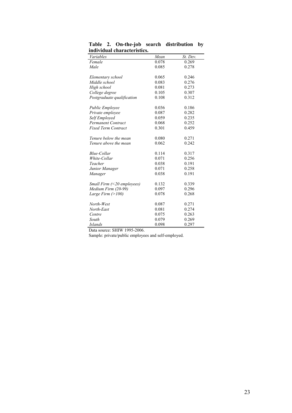| murviuuai Characteristics.       |       |          |
|----------------------------------|-------|----------|
| Variables                        | Mean  | St. Dev. |
| Female                           | 0.078 | 0.269    |
| Male                             | 0.085 | 0.278    |
| Elementary school                | 0.065 | 0.246    |
| Middle school                    | 0.083 | 0.276    |
| High school                      | 0.081 | 0.273    |
| College degree                   | 0.105 | 0.307    |
| Postgraduate qualification       | 0.108 | 0.312    |
| Public Employee                  | 0.036 | 0.186    |
| Private employee                 | 0.087 | 0.282    |
| Self Employed                    | 0.059 | 0.235    |
| <b>Permanent Contract</b>        | 0.068 | 0.252    |
| <b>Fixed Term Contract</b>       | 0.301 | 0.459    |
| Tenure below the mean            | 0.080 | 0.271    |
| Tenure above the mean            | 0.062 | 0.242    |
| <b>Blue-Collar</b>               | 0.114 | 0.317    |
| White-Collar                     | 0.071 | 0.256    |
| Teacher                          | 0.038 | 0.191    |
| Junior Manager                   | 0.071 | 0.258    |
| Manager                          | 0.038 | 0.191    |
| Small Firm $(\leq 20$ employees) | 0.132 | 0.339    |
| Medium Firm (20-99)              | 0.097 | 0.296    |
| Large Firm $(>100)$              | 0.078 | 0.268    |
| North-West                       | 0.087 | 0.271    |
| North-East                       | 0.081 | 0.274    |
| Centre                           | 0.075 | 0.263    |
| South                            | 0.079 | 0.269    |
| <b>Islands</b>                   | 0.098 | 0.297    |

Table 2. On-the-job search distribution by **individual characteristics.** 

Data source: SHIW 1995-2006.

Sample: private/public employees and self-employed.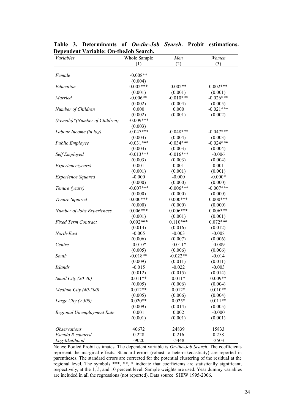| $\beta$ chucht variable. On theogo bearen<br>Variables | Whole Sample | Men         | Women       |
|--------------------------------------------------------|--------------|-------------|-------------|
|                                                        | (1)          | (2)         | (3)         |
|                                                        |              |             |             |
| Female                                                 | $-0.008**$   |             |             |
|                                                        | (0.004)      |             |             |
| Education                                              | $0.002***$   | $0.002**$   | $0.002***$  |
|                                                        | (0.001)      | (0.001)     | (0.001)     |
| Married                                                | $-0.006**$   | $-0.010***$ | $-0.026***$ |
|                                                        | (0.002)      | (0.004)     | (0.005)     |
| Number of Children                                     | 0.000        | 0.000       | $-0.021***$ |
|                                                        | (0.002)      | (0.001)     | (0.002)     |
| (Female)*(Number of Children)                          | $-0.009***$  |             |             |
|                                                        | (0.003)      |             |             |
| Labour Income (in log)                                 | $-0.047***$  | $-0.048***$ | $-0.047***$ |
|                                                        | (0.003)      | (0.004)     | (0.003)     |
| Public Employee                                        | $-0.031***$  | $-0.034***$ | $-0.024***$ |
|                                                        | (0.003)      | (0.003)     | (0.004)     |
| Self Employed                                          | $-0.013***$  | $-0.016***$ | $-0.006$    |
|                                                        | (0.003)      | (0.003)     | (0.004)     |
| Experience(years)                                      | 0.001        | 0.001       | 0.001       |
|                                                        | (0.001)      | (0.001)     | (0.001)     |
| <b>Experience Squared</b>                              | $-0.000$     | $-0.000$    | $-0.000*$   |
|                                                        | (0.000)      | (0.000)     | (0.000)     |
| Tenure (years)                                         | $-0.007***$  | $-0.006***$ | $-0.007***$ |
|                                                        | (0.000)      | (0.000)     | (0.000)     |
| Tenure Squared                                         | $0.000***$   | $0.000***$  | $0.000***$  |
|                                                        | (0.000)      | (0.000)     | (0.000)     |
| Number of Jobs Experiences                             | $0.006***$   | $0.006***$  | $0.006***$  |
|                                                        | (0.001)      | (0.001)     | (0.001)     |
| <b>Fixed Term Contract</b>                             | $0.092***$   | $0.110***$  | $0.072***$  |
|                                                        | (0.013)      | (0.016)     | (0.012)     |
| North-East                                             | $-0.005$     | $-0.003$    | $-0.008$    |
|                                                        | (0.006)      | (0.007)     | (0.006)     |
| Centre                                                 | $-0.010*$    | $-0.011*$   | $-0.009$    |
|                                                        | (0.005)      | (0.006)     | (0.006)     |
| South                                                  | $-0.018**$   | $-0.022**$  | $-0.014$    |
|                                                        | (0.009)      | (0.011)     | (0.011)     |
| <b>Islands</b>                                         | $-0.015$     | $-0.022$    | $-0.003$    |
|                                                        | (0.012)      | (0.015)     | (0.014)     |
| Small City (20-40)                                     | $0.011**$    | $0.011*$    | $0.009**$   |
|                                                        | (0.005)      | (0.006)     | (0.004)     |
| Medium City (40-500)                                   | $0.012**$    | $0.012*$    | $0.010**$   |
|                                                        | (0.005)      | (0.006)     | (0.004)     |
| Large City ( $>500$ )                                  | $0.020**$    | $0.025*$    | $0.011**$   |
|                                                        | (0.009)      | (0.014)     | (0.005)     |
| Regional Unemployment Rate                             | 0.001        | 0.002       | $-0.000$    |
|                                                        | (0.001)      | (0.001)     | (0.001)     |
| <i><b>Observations</b></i>                             | 40672        | 24839       | 15833       |
| Pseudo R-squared                                       | 0.228        | 0.216       | 0.258       |
| Log-likelihood                                         | $-9020$      | $-5448$     | $-3503$     |

Table 3. Determinants of On-the-Job Search. Probit estimations. Dependent Variable: On-the Job Search.

Notes: Pooled Probit estimates. The dependent variable is On-the-Job Search. The coefficients represent the marginal effects. Standard errors (robust to heteroskedasticity) are reported in parentheses. The standard errors are corrected for the potential clustering of the residual at the regional level. The symbols \*\*\*, \*\*, \* indicate that coefficients are statistically significant, respectively, at the 1, 5, are included in all the regressions (not reported). Data source: SHIW 1995-2006.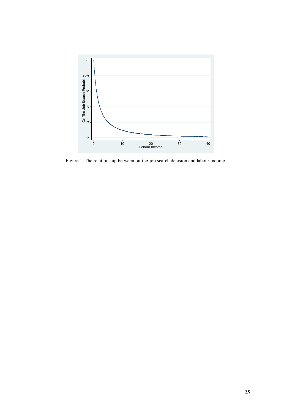

Figure 1. The relationship between on-the-job search decision and labour income.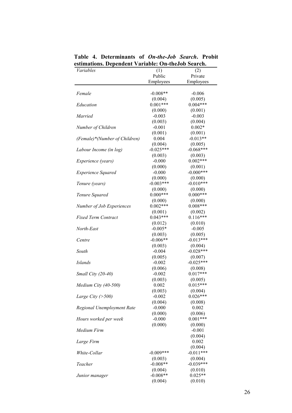| зитаноня. Dependent variable. Он-икобо эсаген. |                        |                        |  |  |
|------------------------------------------------|------------------------|------------------------|--|--|
| Variables                                      | (1)                    | (2)                    |  |  |
|                                                | Public                 | Private                |  |  |
|                                                | Employees              | Employees              |  |  |
| Female                                         | $-0.008**$             | $-0.006$               |  |  |
|                                                | (0.004)                |                        |  |  |
| Education                                      | $0.001***$             | (0.005)<br>$0.004***$  |  |  |
|                                                |                        |                        |  |  |
| Married                                        | (0.000)<br>$-0.003$    | (0.001)<br>$-0.003$    |  |  |
|                                                | (0.003)                |                        |  |  |
|                                                | $-0.001$               | (0.004)<br>$0.002*$    |  |  |
| Number of Children                             |                        |                        |  |  |
|                                                | (0.001)<br>0.004       | (0.001)<br>$-0.013**$  |  |  |
| (Female)*(Number of Children)                  |                        |                        |  |  |
|                                                | (0.004)<br>$-0.025***$ | (0.005)<br>$-0.068***$ |  |  |
| Labour Income (in log)                         |                        |                        |  |  |
|                                                | (0.003)                | (0.003)<br>$0.002***$  |  |  |
| Experience (years)                             | $-0.000$               |                        |  |  |
|                                                | (0.000)<br>$-0.000$    | (0.001)<br>$-0.000***$ |  |  |
| <b>Experience Squared</b>                      |                        |                        |  |  |
|                                                | (0.000)                | (0.000)                |  |  |
| Tenure (years)                                 | $-0.003***$            | $-0.010***$            |  |  |
|                                                | (0.000)<br>$0.000***$  | (0.000)<br>$0.000***$  |  |  |
| Tenure Squared                                 |                        |                        |  |  |
|                                                | (0.000)<br>$0.002**$   | (0.000)<br>$0.008***$  |  |  |
| Number of Job Experiences                      |                        |                        |  |  |
|                                                | (0.001)                | (0.002)                |  |  |
| <b>Fixed Term Contract</b>                     | $0.043***$             | $0.116***$             |  |  |
|                                                | (0.012)                | (0.010)                |  |  |
| North-East                                     | $-0.005*$              | $-0.005$               |  |  |
|                                                | (0.003)                | (0.005)                |  |  |
| Centre                                         | $-0.006**$             | $-0.013***$            |  |  |
|                                                | (0.003)                | (0.004)                |  |  |
| South                                          | $-0.004$               | $-0.028***$            |  |  |
|                                                | (0.005)                | (0.007)<br>$-0.025***$ |  |  |
| <b>Islands</b>                                 | $-0.002$               |                        |  |  |
|                                                | (0.006)                | (0.008)<br>$0.017***$  |  |  |
| Small City (20-40)                             | $-0.002$               |                        |  |  |
|                                                | (0.003)                | (0.005)                |  |  |
| Medium City (40-500)                           | 0.002                  | $0.015***$             |  |  |
|                                                | (0.003)<br>$-0.002$    | (0.004)<br>$0.026***$  |  |  |
| Large City $($ >500)                           |                        |                        |  |  |
|                                                | (0.004)<br>$-0.000$    | (0.008)<br>0.002       |  |  |
| Regional Unemployment Rate                     | (0.000)                | (0.006)                |  |  |
|                                                | $-0.000$               | $0.001***$             |  |  |
| Hours worked per week                          |                        |                        |  |  |
|                                                | (0.000)                | (0.000)<br>$-0.001$    |  |  |
| Medium Firm                                    |                        |                        |  |  |
|                                                |                        | (0.004)                |  |  |
| Large Firm                                     |                        | 0.002                  |  |  |
|                                                |                        | (0.004)                |  |  |
| White-Collar                                   | $-0.009***$            | $-0.011***$            |  |  |
|                                                | (0.003)<br>$-0.008**$  | (0.004)<br>$-0.039***$ |  |  |
| Teacher                                        |                        |                        |  |  |
|                                                | (0.004)<br>$-0.008**$  | (0.010)<br>$0.025**$   |  |  |
| Junior manager                                 |                        |                        |  |  |
|                                                | (0.004)                | (0.010)                |  |  |

Table 4. Determinants of On-the-Job Search. Probit estimations. Dependent Variable: On-theJob Search. L,